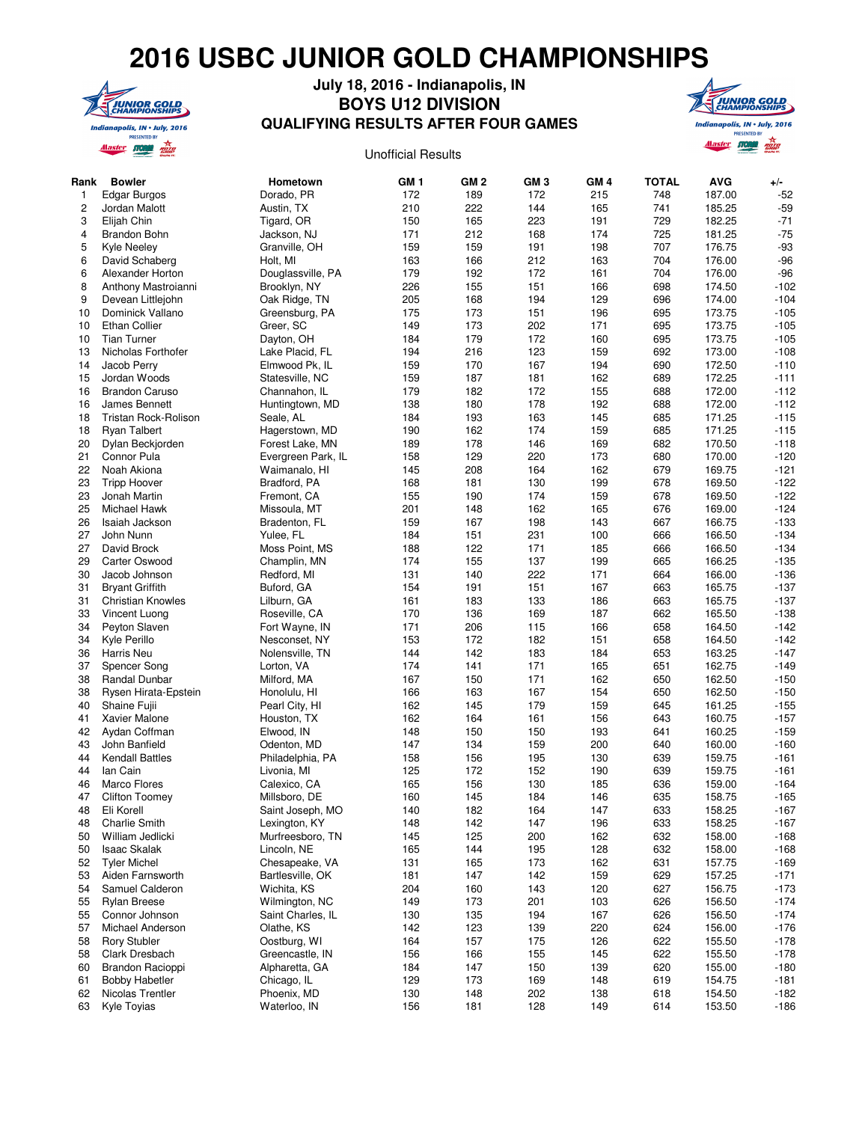## **2016 USBC JUNIOR GOLD CHAMPIONSHIPS**



## **QUALIFYING RESULTS AFTER FOUR GAMES July 18, 2016 - Indianapolis, IN BOYS U12 DIVISION**





| Rank | Bowler                   | Hometown           | GM <sub>1</sub> | GM <sub>2</sub> | GM <sub>3</sub> | GM <sub>4</sub> | <b>TOTAL</b> | <b>AVG</b> | $+/-$  |
|------|--------------------------|--------------------|-----------------|-----------------|-----------------|-----------------|--------------|------------|--------|
| 1    | Edgar Burgos             | Dorado, PR         | 172             | 189             | 172             | 215             | 748          | 187.00     | $-52$  |
| 2    | Jordan Malott            | Austin, TX         | 210             | 222             | 144             | 165             | 741          | 185.25     | $-59$  |
| 3    | Elijah Chin              | Tigard, OR         | 150             | 165             | 223             | 191             | 729          | 182.25     | $-71$  |
| 4    | Brandon Bohn             | Jackson, NJ        | 171             | 212             | 168             | 174             | 725          | 181.25     | $-75$  |
| 5    | <b>Kyle Neeley</b>       | Granville, OH      | 159             | 159             | 191             | 198             | 707          | 176.75     | $-93$  |
| 6    | David Schaberg           | Holt, MI           | 163             | 166             | 212             | 163             | 704          | 176.00     | $-96$  |
| 6    | Alexander Horton         | Douglassville, PA  | 179             | 192             | 172             | 161             | 704          | 176.00     | $-96$  |
| 8    | Anthony Mastroianni      | Brooklyn, NY       | 226             | 155             | 151             | 166             | 698          | 174.50     | $-102$ |
| 9    | Devean Littlejohn        | Oak Ridge, TN      | 205             | 168             | 194             | 129             | 696          | 174.00     | $-104$ |
| 10   | Dominick Vallano         | Greensburg, PA     | 175             | 173             | 151             | 196             | 695          | 173.75     | $-105$ |
| 10   | <b>Ethan Collier</b>     | Greer, SC          | 149             | 173             | 202             | 171             | 695          | 173.75     | $-105$ |
| 10   | <b>Tian Turner</b>       | Dayton, OH         | 184             | 179             | 172             | 160             | 695          | 173.75     | $-105$ |
| 13   | Nicholas Forthofer       | Lake Placid, FL    | 194             | 216             | 123             | 159             | 692          | 173.00     | $-108$ |
| 14   | Jacob Perry              | Elmwood Pk, IL     | 159             | 170             | 167             | 194             | 690          | 172.50     | $-110$ |
| 15   | Jordan Woods             | Statesville, NC    | 159             | 187             | 181             | 162             | 689          | 172.25     | $-111$ |
| 16   | <b>Brandon Caruso</b>    | Channahon, IL      | 179             | 182             | 172             | 155             | 688          | 172.00     | $-112$ |
| 16   | James Bennett            | Huntingtown, MD    | 138             | 180             | 178             | 192             | 688          | 172.00     | $-112$ |
| 18   | Tristan Rock-Rolison     | Seale, AL          | 184             | 193             | 163             | 145             | 685          | 171.25     | $-115$ |
| 18   | <b>Ryan Talbert</b>      | Hagerstown, MD     | 190             | 162             | 174             | 159             | 685          | 171.25     | $-115$ |
| 20   | Dylan Beckjorden         | Forest Lake, MN    | 189             | 178             | 146             | 169             | 682          | 170.50     | $-118$ |
| 21   | Connor Pula              | Evergreen Park, IL | 158             | 129             | 220             | 173             | 680          | 170.00     | $-120$ |
| 22   | Noah Akiona              | Waimanalo, HI      | 145             | 208             | 164             | 162             | 679          | 169.75     | $-121$ |
| 23   | <b>Tripp Hoover</b>      | Bradford, PA       | 168             | 181             | 130             | 199             | 678          | 169.50     | $-122$ |
| 23   | Jonah Martin             | Fremont, CA        | 155             | 190             | 174             | 159             | 678          | 169.50     | $-122$ |
| 25   | Michael Hawk             | Missoula, MT       | 201             | 148             | 162             | 165             | 676          | 169.00     | $-124$ |
| 26   | Isaiah Jackson           | Bradenton, FL      | 159             | 167             | 198             | 143             | 667          | 166.75     | $-133$ |
| 27   | John Nunn                | Yulee, FL          | 184             | 151             | 231             | 100             | 666          | 166.50     | $-134$ |
| 27   | David Brock              | Moss Point, MS     | 188             | 122             | 171             | 185             | 666          | 166.50     | $-134$ |
| 29   | Carter Oswood            | Champlin, MN       | 174             | 155             | 137             | 199             | 665          | 166.25     | $-135$ |
| 30   | Jacob Johnson            | Redford, MI        | 131             | 140             | 222             | 171             | 664          | 166.00     | $-136$ |
| 31   | <b>Bryant Griffith</b>   | Buford, GA         | 154             | 191             | 151             | 167             | 663          | 165.75     | $-137$ |
| 31   | <b>Christian Knowles</b> | Lilburn, GA        | 161             | 183             | 133             | 186             | 663          | 165.75     | $-137$ |
| 33   | Vincent Luong            | Roseville, CA      | 170             | 136             | 169             | 187             | 662          | 165.50     | $-138$ |
| 34   | Peyton Slaven            | Fort Wayne, IN     | 171             | 206             | 115             | 166             | 658          | 164.50     | $-142$ |
| 34   | Kyle Perillo             | Nesconset, NY      | 153             | 172             | 182             | 151             | 658          | 164.50     | $-142$ |
| 36   | Harris Neu               | Nolensville, TN    | 144             | 142             | 183             | 184             | 653          | 163.25     | $-147$ |
| 37   | Spencer Song             | Lorton, VA         | 174             | 141             | 171             | 165             | 651          | 162.75     | $-149$ |
| 38   | Randal Dunbar            | Milford, MA        | 167             | 150             | 171             | 162             | 650          | 162.50     | $-150$ |
| 38   | Rysen Hirata-Epstein     | Honolulu, HI       | 166             | 163             | 167             | 154             | 650          | 162.50     | $-150$ |
| 40   | Shaine Fujii             | Pearl City, HI     | 162             | 145             | 179             | 159             | 645          | 161.25     | $-155$ |
| 41   | Xavier Malone            | Houston, TX        | 162             | 164             | 161             | 156             | 643          | 160.75     | $-157$ |
| 42   | Aydan Coffman            | Elwood, IN         | 148             | 150             | 150             | 193             | 641          | 160.25     | $-159$ |
| 43   | John Banfield            | Odenton, MD        | 147             | 134             | 159             | 200             | 640          | 160.00     | $-160$ |
| 44   | <b>Kendall Battles</b>   | Philadelphia, PA   | 158             | 156             | 195             | 130             | 639          | 159.75     | $-161$ |
| 44   | lan Cain                 | Livonia, MI        | 125             | 172             | 152             | 190             | 639          | 159.75     | $-161$ |
| 46   | Marco Flores             | Calexico, CA       | 165             | 156             | 130             | 185             | 636          | 159.00     | $-164$ |
| 47   | <b>Clifton Toomey</b>    | Millsboro, DE      | 160             | 145             | 184             | 146             | 635          | 158.75     | $-165$ |
| 48   | Eli Korell               | Saint Joseph, MO   | 140             | 182             | 164             | 147             | 633          | 158.25     | $-167$ |
| 48   | <b>Charlie Smith</b>     | Lexington, KY      | 148             | 142             | 147             | 196             | 633          | 158.25     | $-167$ |
| 50   | William Jedlicki         | Murfreesboro, TN   | 145             | 125             | 200             | 162             | 632          | 158.00     | $-168$ |
| 50   | <b>Isaac Skalak</b>      | Lincoln, NE        | 165             | 144             | 195             | 128             | 632          | 158.00     | $-168$ |
| 52   | <b>Tyler Michel</b>      | Chesapeake, VA     | 131             | 165             | 173             | 162             | 631          | 157.75     | $-169$ |
| 53   | Aiden Farnsworth         | Bartlesville, OK   | 181             | 147             | 142             | 159             | 629          | 157.25     | $-171$ |
| 54   | Samuel Calderon          | Wichita, KS        | 204             | 160             | 143             | 120             | 627          | 156.75     | $-173$ |
| 55   | <b>Rylan Breese</b>      | Wilmington, NC     | 149             | 173             | 201             | 103             | 626          | 156.50     | $-174$ |
| 55   | Connor Johnson           | Saint Charles, IL  | 130             | 135             | 194             | 167             | 626          | 156.50     | $-174$ |
| 57   | Michael Anderson         | Olathe, KS         | 142             | 123             | 139             | 220             | 624          | 156.00     | $-176$ |
| 58   | <b>Rory Stubler</b>      | Oostburg, WI       | 164             | 157             | 175             | 126             | 622          | 155.50     | $-178$ |
| 58   | Clark Dresbach           | Greencastle, IN    | 156             | 166             | 155             | 145             | 622          | 155.50     | $-178$ |
| 60   | Brandon Racioppi         | Alpharetta, GA     | 184             | 147             | 150             | 139             | 620          | 155.00     | $-180$ |
| 61   | <b>Bobby Habetler</b>    | Chicago, IL        | 129             | 173             | 169             | 148             | 619          | 154.75     | $-181$ |
| 62   | Nicolas Trentler         | Phoenix, MD        | 130             | 148             | 202             | 138             | 618          | 154.50     | $-182$ |
| 63   | Kyle Toyias              | Waterloo, IN       | 156             | 181             | 128             | 149             | 614          | 153.50     | $-186$ |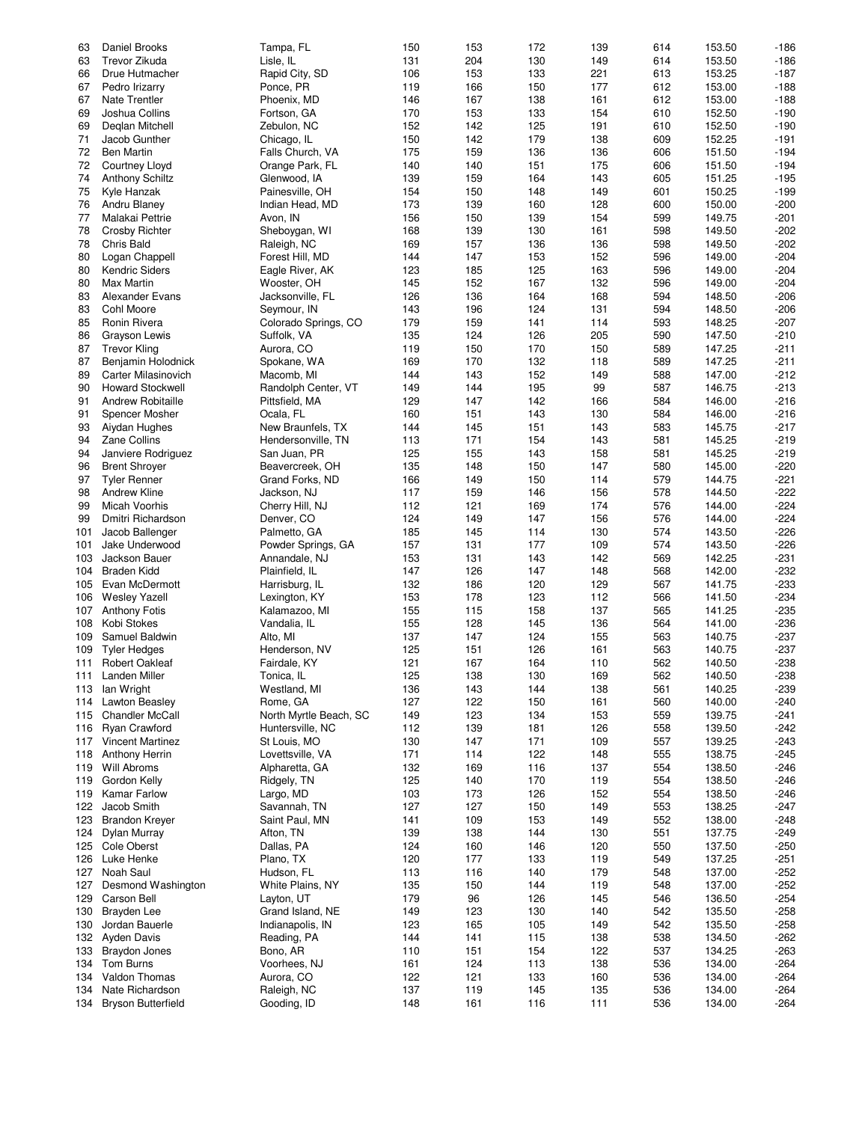| 63  | Daniel Brooks              | Tampa, FL              | 150 | 153 | 172 | 139 | 614 | 153.50 | $-186$ |
|-----|----------------------------|------------------------|-----|-----|-----|-----|-----|--------|--------|
| 63  | Trevor Zikuda              | Lisle, IL              | 131 | 204 | 130 | 149 | 614 | 153.50 | $-186$ |
| 66  | Drue Hutmacher             | Rapid City, SD         | 106 | 153 | 133 | 221 | 613 | 153.25 | $-187$ |
|     |                            |                        |     |     |     |     |     |        |        |
| 67  | Pedro Irizarry             | Ponce, PR              | 119 | 166 | 150 | 177 | 612 | 153.00 | $-188$ |
| 67  | <b>Nate Trentler</b>       | Phoenix, MD            | 146 | 167 | 138 | 161 | 612 | 153.00 | $-188$ |
| 69  | Joshua Collins             | Fortson, GA            | 170 | 153 | 133 | 154 | 610 | 152.50 | $-190$ |
| 69  | Deglan Mitchell            | Zebulon, NC            | 152 | 142 | 125 | 191 | 610 | 152.50 | $-190$ |
|     |                            |                        |     |     |     |     |     |        |        |
| 71  | Jacob Gunther              | Chicago, IL            | 150 | 142 | 179 | 138 | 609 | 152.25 | $-191$ |
| 72  | <b>Ben Martin</b>          | Falls Church, VA       | 175 | 159 | 136 | 136 | 606 | 151.50 | $-194$ |
| 72  | Courtney Lloyd             | Orange Park, FL        | 140 | 140 | 151 | 175 | 606 | 151.50 | $-194$ |
| 74  |                            |                        |     |     |     |     |     |        |        |
|     | <b>Anthony Schiltz</b>     | Glenwood, IA           | 139 | 159 | 164 | 143 | 605 | 151.25 | $-195$ |
| 75  | Kyle Hanzak                | Painesville, OH        | 154 | 150 | 148 | 149 | 601 | 150.25 | $-199$ |
| 76  | Andru Blaney               | Indian Head, MD        | 173 | 139 | 160 | 128 | 600 | 150.00 | $-200$ |
| 77  | Malakai Pettrie            | Avon, IN               | 156 | 150 | 139 | 154 | 599 | 149.75 | $-201$ |
| 78  |                            |                        |     |     |     | 161 |     |        | $-202$ |
|     | Crosby Richter             | Sheboygan, WI          | 168 | 139 | 130 |     | 598 | 149.50 |        |
| 78  | Chris Bald                 | Raleigh, NC            | 169 | 157 | 136 | 136 | 598 | 149.50 | $-202$ |
| 80  | Logan Chappell             | Forest Hill, MD        | 144 | 147 | 153 | 152 | 596 | 149.00 | $-204$ |
| 80  | <b>Kendric Siders</b>      | Eagle River, AK        | 123 | 185 | 125 | 163 | 596 | 149.00 | $-204$ |
| 80  | <b>Max Martin</b>          |                        | 145 | 152 | 167 | 132 | 596 |        | $-204$ |
|     |                            | Wooster, OH            |     |     |     |     |     | 149.00 |        |
| 83  | <b>Alexander Evans</b>     | Jacksonville, FL       | 126 | 136 | 164 | 168 | 594 | 148.50 | $-206$ |
| 83  | Cohl Moore                 | Seymour, IN            | 143 | 196 | 124 | 131 | 594 | 148.50 | $-206$ |
| 85  | Ronin Rivera               | Colorado Springs, CO   | 179 | 159 | 141 | 114 | 593 | 148.25 | $-207$ |
|     |                            |                        |     |     |     |     |     |        |        |
| 86  | Grayson Lewis              | Suffolk, VA            | 135 | 124 | 126 | 205 | 590 | 147.50 | $-210$ |
| 87  | <b>Trevor Kling</b>        | Aurora, CO             | 119 | 150 | 170 | 150 | 589 | 147.25 | $-211$ |
| 87  | Benjamin Holodnick         | Spokane, WA            | 169 | 170 | 132 | 118 | 589 | 147.25 | $-211$ |
| 89  | <b>Carter Milasinovich</b> | Macomb, MI             | 144 | 143 | 152 | 149 | 588 | 147.00 | $-212$ |
|     |                            |                        |     |     |     |     |     |        |        |
| 90  | <b>Howard Stockwell</b>    | Randolph Center, VT    | 149 | 144 | 195 | 99  | 587 | 146.75 | $-213$ |
| 91  | <b>Andrew Robitaille</b>   | Pittsfield, MA         | 129 | 147 | 142 | 166 | 584 | 146.00 | $-216$ |
| 91  | Spencer Mosher             | Ocala, FL              | 160 | 151 | 143 | 130 | 584 | 146.00 | $-216$ |
| 93  | Aiydan Hughes              | New Braunfels, TX      | 144 | 145 | 151 | 143 | 583 | 145.75 | $-217$ |
|     |                            |                        |     |     |     |     |     |        |        |
| 94  | <b>Zane Collins</b>        | Hendersonville, TN     | 113 | 171 | 154 | 143 | 581 | 145.25 | $-219$ |
| 94  | Janviere Rodriguez         | San Juan, PR           | 125 | 155 | 143 | 158 | 581 | 145.25 | $-219$ |
| 96  | <b>Brent Shroyer</b>       | Beavercreek, OH        | 135 | 148 | 150 | 147 | 580 | 145.00 | $-220$ |
| 97  | <b>Tyler Renner</b>        | Grand Forks, ND        | 166 | 149 | 150 | 114 | 579 | 144.75 | $-221$ |
|     |                            |                        |     |     |     |     |     |        |        |
| 98  | <b>Andrew Kline</b>        | Jackson, NJ            | 117 | 159 | 146 | 156 | 578 | 144.50 | $-222$ |
| 99  | Micah Voorhis              | Cherry Hill, NJ        | 112 | 121 | 169 | 174 | 576 | 144.00 | $-224$ |
| 99  | Dmitri Richardson          | Denver, CO             | 124 | 149 | 147 | 156 | 576 | 144.00 | $-224$ |
| 101 | Jacob Ballenger            | Palmetto, GA           | 185 | 145 | 114 | 130 | 574 | 143.50 | $-226$ |
|     |                            |                        |     |     |     |     |     |        |        |
| 101 | Jake Underwood             | Powder Springs, GA     | 157 | 131 | 177 | 109 | 574 | 143.50 | $-226$ |
| 103 | Jackson Bauer              | Annandale, NJ          | 153 | 131 | 143 | 142 | 569 | 142.25 | $-231$ |
| 104 | Braden Kidd                | Plainfield, IL         | 147 | 126 | 147 | 148 | 568 | 142.00 | $-232$ |
| 105 | Evan McDermott             | Harrisburg, IL         | 132 | 186 | 120 | 129 | 567 | 141.75 | $-233$ |
|     |                            |                        |     |     |     |     |     |        |        |
| 106 | <b>Wesley Yazell</b>       | Lexington, KY          | 153 | 178 | 123 | 112 | 566 | 141.50 | $-234$ |
| 107 | <b>Anthony Fotis</b>       | Kalamazoo, MI          | 155 | 115 | 158 | 137 | 565 | 141.25 | $-235$ |
| 108 | Kobi Stokes                | Vandalia, IL           | 155 | 128 | 145 | 136 | 564 | 141.00 | $-236$ |
| 109 | Samuel Baldwin             | Alto, MI               | 137 | 147 | 124 | 155 | 563 | 140.75 | $-237$ |
|     |                            |                        |     |     |     |     |     |        |        |
| 109 | <b>Tyler Hedges</b>        | Henderson, NV          | 125 | 151 | 126 | 161 | 563 | 140.75 | $-237$ |
| 111 | <b>Robert Oakleaf</b>      | Fairdale, KY           | 121 | 167 | 164 | 110 | 562 | 140.50 | $-238$ |
|     | 111 Landen Miller          | Tonica, IL             | 125 | 138 | 130 | 169 | 562 | 140.50 | $-238$ |
| 113 | lan Wright                 | Westland, MI           | 136 | 143 | 144 | 138 | 561 | 140.25 | $-239$ |
|     |                            |                        |     |     |     |     |     |        |        |
| 114 | <b>Lawton Beasley</b>      | Rome, GA               | 127 | 122 | 150 | 161 | 560 | 140.00 | $-240$ |
| 115 | <b>Chandler McCall</b>     | North Myrtle Beach, SC | 149 | 123 | 134 | 153 | 559 | 139.75 | $-241$ |
| 116 | <b>Ryan Crawford</b>       | Huntersville, NC       | 112 | 139 | 181 | 126 | 558 | 139.50 | $-242$ |
|     | 117 Vincent Martinez       | St Louis, MO           | 130 | 147 | 171 | 109 | 557 | 139.25 | $-243$ |
|     |                            |                        |     |     |     |     |     |        |        |
| 118 | Anthony Herrin             | Lovettsville, VA       | 171 | 114 | 122 | 148 | 555 | 138.75 | $-245$ |
| 119 | Will Abroms                | Alpharetta, GA         | 132 | 169 | 116 | 137 | 554 | 138.50 | $-246$ |
| 119 | Gordon Kelly               | Ridgely, TN            | 125 | 140 | 170 | 119 | 554 | 138.50 | $-246$ |
| 119 | <b>Kamar Farlow</b>        | Largo, MD              | 103 | 173 | 126 | 152 | 554 | 138.50 | $-246$ |
|     |                            |                        |     |     |     |     |     |        |        |
| 122 | Jacob Smith                | Savannah, TN           | 127 | 127 | 150 | 149 | 553 | 138.25 | $-247$ |
| 123 | <b>Brandon Kreyer</b>      | Saint Paul, MN         | 141 | 109 | 153 | 149 | 552 | 138.00 | $-248$ |
| 124 | Dylan Murray               | Afton, TN              | 139 | 138 | 144 | 130 | 551 | 137.75 | $-249$ |
| 125 | Cole Oberst                | Dallas, PA             | 124 | 160 | 146 | 120 | 550 | 137.50 | $-250$ |
|     |                            |                        |     |     |     |     |     |        |        |
| 126 | Luke Henke                 | Plano, TX              | 120 | 177 | 133 | 119 | 549 | 137.25 | $-251$ |
| 127 | Noah Saul                  | Hudson, FL             | 113 | 116 | 140 | 179 | 548 | 137.00 | $-252$ |
| 127 | Desmond Washington         | White Plains, NY       | 135 | 150 | 144 | 119 | 548 | 137.00 | $-252$ |
| 129 | Carson Bell                |                        | 179 | 96  | 126 | 145 | 546 |        | $-254$ |
|     |                            | Layton, UT             |     |     |     |     |     | 136.50 |        |
| 130 | <b>Brayden Lee</b>         | Grand Island, NE       | 149 | 123 | 130 | 140 | 542 | 135.50 | $-258$ |
| 130 | Jordan Bauerle             | Indianapolis, IN       | 123 | 165 | 105 | 149 | 542 | 135.50 | $-258$ |
| 132 | <b>Ayden Davis</b>         | Reading, PA            | 144 | 141 | 115 | 138 | 538 | 134.50 | $-262$ |
|     |                            |                        |     |     |     | 122 | 537 |        |        |
| 133 | <b>Braydon Jones</b>       | Bono, AR               | 110 | 151 | 154 |     |     | 134.25 | $-263$ |
|     | 134 Tom Burns              | Voorhees, NJ           | 161 | 124 | 113 | 138 | 536 | 134.00 | $-264$ |
| 134 | Valdon Thomas              | Aurora, CO             | 122 | 121 | 133 | 160 | 536 | 134.00 | $-264$ |
| 134 | Nate Richardson            | Raleigh, NC            | 137 | 119 | 145 | 135 | 536 | 134.00 | $-264$ |
|     |                            | Gooding, ID            |     |     |     |     |     |        |        |
| 134 | <b>Bryson Butterfield</b>  |                        | 148 | 161 | 116 | 111 | 536 | 134.00 | $-264$ |